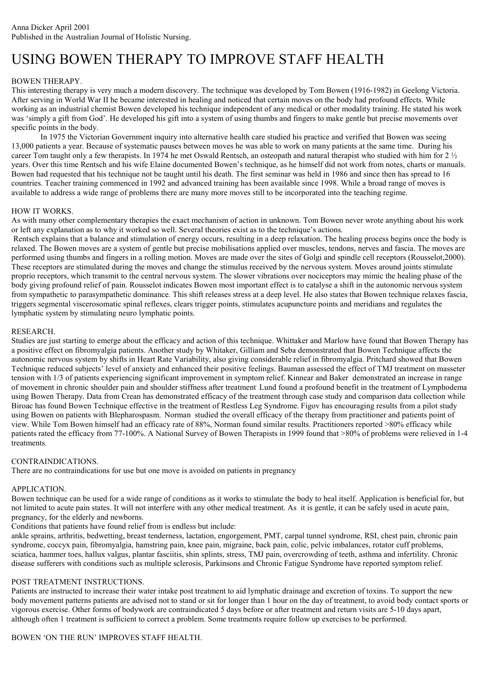# USING BOWEN THERAPY TO IMPROVE STAFF HEALTH

## BOWEN THERAPY.

This interesting therapy is very much a modern discovery. The technique was developed by Tom Bowen (1916-1982) in Geelong Victoria. After serving in World War II he became interested in healing and noticed that certain moves on the body had profound effects. While working as an industrial chemist Bowen developed his technique independent of any medical or other modality training. He stated his work was 'simply a gift from God'. He developed his gift into a system of using thumbs and fingers to make gentle but precise movements over specific points in the body.

In 1975 the Victorian Government inquiry into alternative health care studied his practice and verified that Bowen was seeing 13,000 patients a year. Because of systematic pauses between moves he was able to work on many patients at the same time. During his career Tom taught only a few therapists. In 1974 he met Oswald Rentsch, an osteopath and natural therapist who studied with him for 2 ½ years. Over this time Rentsch and his wife Elaine documented Bowen's technique, as he himself did not work from notes, charts or manuals. Bowen had requested that his technique not be taught until his death. The first seminar was held in 1986 and since then has spread to 16 countries. Teacher training commenced in 1992 and advanced training has been available since 1998. While a broad range of moves is available to address a wide range of problems there are many more moves still to be incorporated into the teaching regime.

## HOW IT WORKS.

As with many other complementary therapies the exact mechanism of action in unknown. Tom Bowen never wrote anything about his work or left any explanation as to why it worked so well. Several theories exist as to the technique's actions.

 Rentsch explains that a balance and stimulation of energy occurs, resulting in a deep relaxation. The healing process begins once the body is relaxed. The Bowen moves are a system of gentle but precise mobilisations applied over muscles, tendons, nerves and fascia. The moves are performed using thumbs and fingers in a rolling motion. Moves are made over the sites of Golgi and spindle cell receptors (Rousselot,2000). These receptors are stimulated during the moves and change the stimulus received by the nervous system. Moves around joints stimulate proprio receptors, which transmit to the central nervous system. The slower vibrations over nociceptors may mimic the healing phase of the body giving profound relief of pain. Rousselot indicates Bowen most important effect is to catalyse a shift in the autonomic nervous system from sympathetic to parasympathetic dominance. This shift releases stress at a deep level. He also states that Bowen technique relaxes fascia, triggers segmental viscerosomatic spinal reflexes, clears trigger points, stimulates acupuncture points and meridians and regulates the lymphatic system by stimulating neuro lymphatic points.

## RESEARCH.

Studies are just starting to emerge about the efficacy and action of this technique. Whittaker and Marlow have found that Bowen Therapy has a positive effect on fibromyalgia patients. Another study by Whitaker, Gilliam and Seba demonstrated that Bowen Technique affects the autonomic nervous system by shifts in Heart Rate Variability, also giving considerable relief in fibromyalgia. Pritchard showed that Bowen Technique reduced subjects' level of anxiety and enhanced their positive feelings. Bauman assessed the effect of TMJ treatment on masseter tension with 1/3 of patients experiencing significant improvement in symptom relief. Kinnear and Baker demonstrated an increase in range of movement in chronic shoulder pain and shoulder stiffness after treatment. Lund found a profound benefit in the treatment of Lymphodema using Bowen Therapy. Data from Crean has demonstrated efficacy of the treatment through case study and comparison data collection while Biroac has found Bowen Technique effective in the treatment of Restless Leg Syndrome. Figov has encouraging results from a pilot study using Bowen on patients with Blepharospasm. Norman studied the overall efficacy of the therapy from practitioner and patients point of view. While Tom Bowen himself had an efficacy rate of 88%, Norman found similar results. Practitioners reported >80% efficacy while patients rated the efficacy from 77-100%. A National Survey of Bowen Therapists in 1999 found that >80% of problems were relieved in 1-4 treatments.

### CONTRAINDICATIONS.

There are no contraindications for use but one move is avoided on patients in pregnancy

# APPLICATION.

Bowen technique can be used for a wide range of conditions as it works to stimulate the body to heal itself. Application is beneficial for, but not limited to acute pain states. It will not interfere with any other medical treatment. As it is gentle, it can be safely used in acute pain, pregnancy, for the elderly and newborns.

Conditions that patients have found relief from is endless but include:

ankle sprains, arthritis, bedwetting, breast tenderness, lactation, engorgement, PMT, carpal tunnel syndrome, RSI, chest pain, chronic pain syndrome, coccyx pain, fibromyalgia, hamstring pain, knee pain, migraine, back pain, colic, pelvic imbalances, rotator cuff problems, sciatica, hammer toes, hallux valgus, plantar fasciitis, shin splints, stress, TMJ pain, overcrowding of teeth, asthma and infertility. Chronic disease sufferers with conditions such as multiple sclerosis, Parkinsons and Chronic Fatigue Syndrome have reported symptom relief.

# POST TREATMENT INSTRUCTIONS.

Patients are instructed to increase their water intake post treatment to aid lymphatic drainage and excretion of toxins. To support the new body movement patterns patients are advised not to stand or sit for longer than 1 hour on the day of treatment, to avoid body contact sports or vigorous exercise. Other forms of bodywork are contraindicated 5 days before or after treatment and return visits are 5-10 days apart, although often 1 treatment is sufficient to correct a problem. Some treatments require follow up exercises to be performed.

# BOWEN 'ON THE RUN' IMPROVES STAFF HEALTH.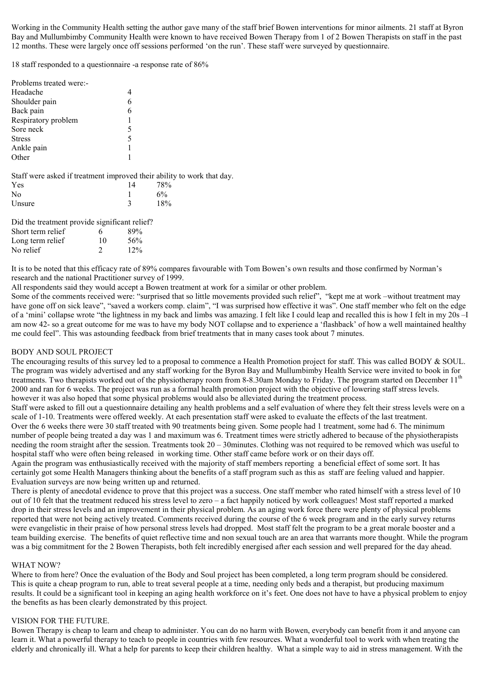Working in the Community Health setting the author gave many of the staff brief Bowen interventions for minor ailments. 21 staff at Byron Bay and Mullumbimby Community Health were known to have received Bowen Therapy from 1 of 2 Bowen Therapists on staff in the past 12 months. These were largely once off sessions performed 'on the run'. These staff were surveyed by questionnaire.

18 staff responded to a questionnaire -a response rate of 86%

| Problems treated were:- |   |
|-------------------------|---|
| Headache                |   |
| Shoulder pain           |   |
| Back pain               | 6 |
| Respiratory problem     | 1 |
| Sore neck               | 5 |
| <b>Stress</b>           | 5 |
| Ankle pain              | 1 |
| Other                   |   |
|                         |   |

Staff were asked if treatment improved their ability to work that day.

| Yes    | 14 | 78% |
|--------|----|-----|
| No     |    | 6%  |
| Unsure |    | 18% |

| Did the treatment provide significant relief? |    |        |
|-----------------------------------------------|----|--------|
| Short term relief                             | 6  | 89%    |
| Long term relief                              | 10 | 56%    |
| No relief                                     | 2  | $12\%$ |

It is to be noted that this efficacy rate of 89% compares favourable with Tom Bowen's own results and those confirmed by Norman's research and the national Practitioner survey of 1999.

All respondents said they would accept a Bowen treatment at work for a similar or other problem.

Some of the comments received were: "surprised that so little movements provided such relief", "kept me at work –without treatment may have gone off on sick leave", "saved a workers comp. claim", "I was surprised how effective it was". One staff member who felt on the edge of a 'mini' collapse wrote "the lightness in my back and limbs was amazing. I felt like I could leap and recalled this is how I felt in my 20s –I am now 42- so a great outcome for me was to have my body NOT collapse and to experience a 'flashback' of how a well maintained healthy me could feel". This was astounding feedback from brief treatments that in many cases took about 7 minutes.

### BODY AND SOUL PROJECT

The encouraging results of this survey led to a proposal to commence a Health Promotion project for staff. This was called BODY & SOUL. The program was widely advertised and any staff working for the Byron Bay and Mullumbimby Health Service were invited to book in for treatments. Two therapists worked out of the physiotherapy room from 8-8.30am Monday to Friday. The program started on December 11<sup>th</sup> 2000 and ran for 6 weeks. The project was run as a formal health promotion project with the objective of lowering staff stress levels. however it was also hoped that some physical problems would also be alleviated during the treatment process.

Staff were asked to fill out a questionnaire detailing any health problems and a self evaluation of where they felt their stress levels were on a scale of 1-10. Treatments were offered weekly. At each presentation staff were asked to evaluate the effects of the last treatment.

Over the 6 weeks there were 30 staff treated with 90 treatments being given. Some people had 1 treatment, some had 6. The minimum number of people being treated a day was 1 and maximum was 6. Treatment times were strictly adhered to because of the physiotherapists needing the room straight after the session. Treatments took 20 – 30minutes. Clothing was not required to be removed which was useful to hospital staff who were often being released in working time. Other staff came before work or on their days off.

Again the program was enthusiastically received with the majority of staff members reporting a beneficial effect of some sort. It has certainly got some Health Managers thinking about the benefits of a staff program such as this as staff are feeling valued and happier. Evaluation surveys are now being written up and returned.

There is plenty of anecdotal evidence to prove that this project was a success. One staff member who rated himself with a stress level of 10 out of 10 felt that the treatment reduced his stress level to zero – a fact happily noticed by work colleagues! Most staff reported a marked drop in their stress levels and an improvement in their physical problem. As an aging work force there were plenty of physical problems reported that were not being actively treated. Comments received during the course of the 6 week program and in the early survey returns were evangelistic in their praise of how personal stress levels had dropped. Most staff felt the program to be a great morale booster and a team building exercise. The benefits of quiet reflective time and non sexual touch are an area that warrants more thought. While the program was a big commitment for the 2 Bowen Therapists, both felt incredibly energised after each session and well prepared for the day ahead.

### WHAT NOW?

Where to from here? Once the evaluation of the Body and Soul project has been completed, a long term program should be considered. This is quite a cheap program to run, able to treat several people at a time, needing only beds and a therapist, but producing maximum results. It could be a significant tool in keeping an aging health workforce on it's feet. One does not have to have a physical problem to enjoy the benefits as has been clearly demonstrated by this project.

### VISION FOR THE FUTURE.

Bowen Therapy is cheap to learn and cheap to administer. You can do no harm with Bowen, everybody can benefit from it and anyone can learn it. What a powerful therapy to teach to people in countries with few resources. What a wonderful tool to work with when treating the elderly and chronically ill. What a help for parents to keep their children healthy. What a simple way to aid in stress management. With the